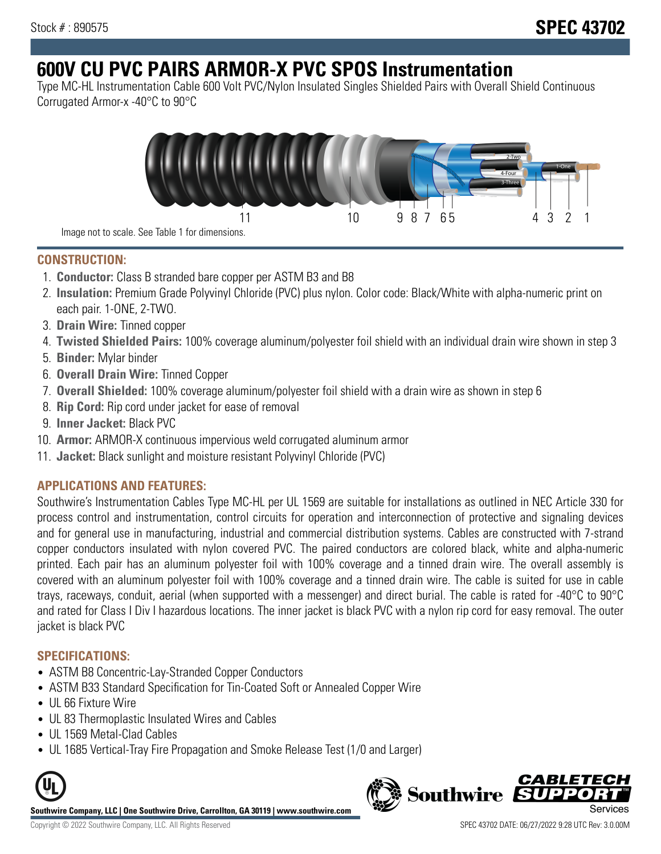# **600V CU PVC PAIRS ARMOR-X PVC SPOS Instrumentation**

Type MC-HL Instrumentation Cable 600 Volt PVC/Nylon Insulated Singles Shielded Pairs with Overall Shield Continuous Corrugated Armor-x -40°C to 90°C



Image not to scale. See Table 1 for dimensions.

## **CONSTRUCTION:**

- 1. **Conductor:** Class B stranded bare copper per ASTM B3 and B8
- 2. **Insulation:** Premium Grade Polyvinyl Chloride (PVC) plus nylon. Color code: Black/White with alpha-numeric print on each pair. 1-ONE, 2-TWO.
- 3. **Drain Wire:** Tinned copper
- 4. **Twisted Shielded Pairs:** 100% coverage aluminum/polyester foil shield with an individual drain wire shown in step 3
- 5. **Binder:** Mylar binder
- 6. **Overall Drain Wire:** Tinned Copper
- 7. **Overall Shielded:** 100% coverage aluminum/polyester foil shield with a drain wire as shown in step 6
- 8. **Rip Cord:** Rip cord under jacket for ease of removal
- 9. **Inner Jacket:** Black PVC
- 10. **Armor:** ARMOR-X continuous impervious weld corrugated aluminum armor
- 11. **Jacket:** Black sunlight and moisture resistant Polyvinyl Chloride (PVC)

## **APPLICATIONS AND FEATURES:**

Southwire's Instrumentation Cables Type MC-HL per UL 1569 are suitable for installations as outlined in NEC Article 330 for process control and instrumentation, control circuits for operation and interconnection of protective and signaling devices and for general use in manufacturing, industrial and commercial distribution systems. Cables are constructed with 7-strand copper conductors insulated with nylon covered PVC. The paired conductors are colored black, white and alpha-numeric printed. Each pair has an aluminum polyester foil with 100% coverage and a tinned drain wire. The overall assembly is covered with an aluminum polyester foil with 100% coverage and a tinned drain wire. The cable is suited for use in cable trays, raceways, conduit, aerial (when supported with a messenger) and direct burial. The cable is rated for -40°C to 90°C and rated for Class I Div I hazardous locations. The inner jacket is black PVC with a nylon rip cord for easy removal. The outer jacket is black PVC

### **SPECIFICATIONS:**

- ASTM B8 Concentric-Lay-Stranded Copper Conductors
- ASTM B33 Standard Specification for Tin-Coated Soft or Annealed Copper Wire
- UL 66 Fixture Wire
- UL 83 Thermoplastic Insulated Wires and Cables
- UL 1569 Metal-Clad Cables
- UL 1685 Vertical-Tray Fire Propagation and Smoke Release Test (1/0 and Larger)



**Southwire Company, LLC | One Southwire Drive, Carrollton, GA 30119 | www.southwire.com**